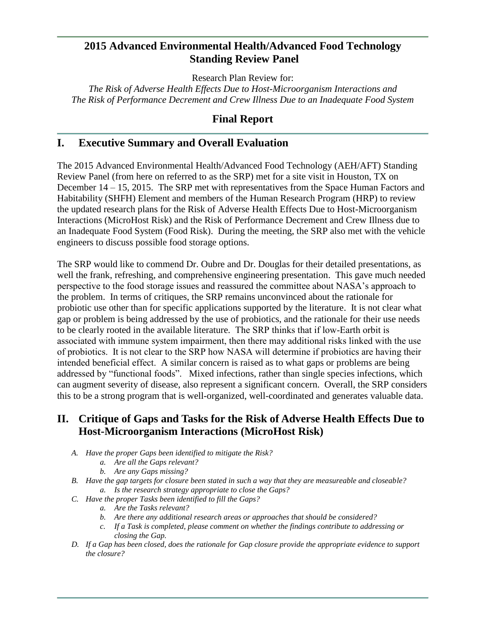# **2015 Advanced Environmental Health/Advanced Food Technology Standing Review Panel**

Research Plan Review for:

*The Risk of Adverse Health Effects Due to Host-Microorganism Interactions and The Risk of Performance Decrement and Crew Illness Due to an Inadequate Food System*

# **Final Report**

# **I. Executive Summary and Overall Evaluation**

The 2015 Advanced Environmental Health/Advanced Food Technology (AEH/AFT) Standing Review Panel (from here on referred to as the SRP) met for a site visit in Houston, TX on December 14 – 15, 2015. The SRP met with representatives from the Space Human Factors and Habitability (SHFH) Element and members of the Human Research Program (HRP) to review the updated research plans for the Risk of Adverse Health Effects Due to Host-Microorganism Interactions (MicroHost Risk) and the Risk of Performance Decrement and Crew Illness due to an Inadequate Food System (Food Risk). During the meeting, the SRP also met with the vehicle engineers to discuss possible food storage options.

The SRP would like to commend Dr. Oubre and Dr. Douglas for their detailed presentations, as well the frank, refreshing, and comprehensive engineering presentation. This gave much needed perspective to the food storage issues and reassured the committee about NASA's approach to the problem. In terms of critiques, the SRP remains unconvinced about the rationale for probiotic use other than for specific applications supported by the literature. It is not clear what gap or problem is being addressed by the use of probiotics, and the rationale for their use needs to be clearly rooted in the available literature. The SRP thinks that if low-Earth orbit is associated with immune system impairment, then there may additional risks linked with the use of probiotics. It is not clear to the SRP how NASA will determine if probiotics are having their intended beneficial effect. A similar concern is raised as to what gaps or problems are being addressed by "functional foods". Mixed infections, rather than single species infections, which can augment severity of disease, also represent a significant concern. Overall, the SRP considers this to be a strong program that is well-organized, well-coordinated and generates valuable data.

# **II. Critique of Gaps and Tasks for the Risk of Adverse Health Effects Due to Host-Microorganism Interactions (MicroHost Risk)**

- *A. Have the proper Gaps been identified to mitigate the Risk?*
	- *a. Are all the Gaps relevant?*
	- *b. Are any Gaps missing?*
- *B. Have the gap targets for closure been stated in such a way that they are measureable and closeable? a. Is the research strategy appropriate to close the Gaps?*
- *C. Have the proper Tasks been identified to fill the Gaps?*
	- *a. Are the Tasks relevant?*
	- *b. Are there any additional research areas or approaches that should be considered?*
	- *c. If a Task is completed, please comment on whether the findings contribute to addressing or closing the Gap.*
- *D. If a Gap has been closed, does the rationale for Gap closure provide the appropriate evidence to support the closure?*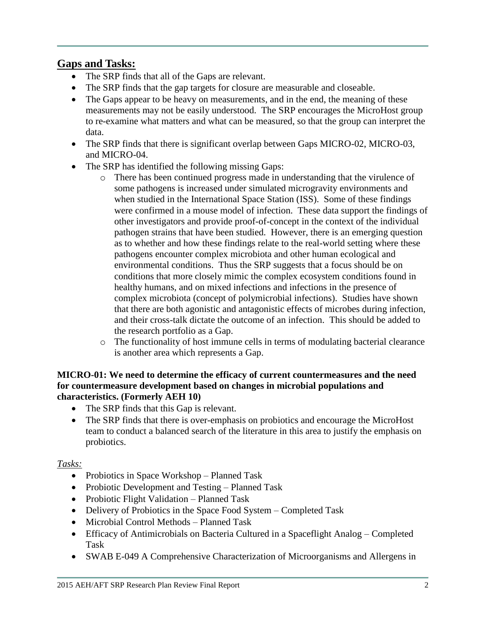# **Gaps and Tasks:**

- The SRP finds that all of the Gaps are relevant.
- The SRP finds that the gap targets for closure are measurable and closeable.
- The Gaps appear to be heavy on measurements, and in the end, the meaning of these measurements may not be easily understood. The SRP encourages the MicroHost group to re-examine what matters and what can be measured, so that the group can interpret the data.
- The SRP finds that there is significant overlap between Gaps MICRO-02, MICRO-03, and MICRO-04.
- The SRP has identified the following missing Gaps:
	- o There has been continued progress made in understanding that the virulence of some pathogens is increased under simulated microgravity environments and when studied in the International Space Station (ISS). Some of these findings were confirmed in a mouse model of infection. These data support the findings of other investigators and provide proof-of-concept in the context of the individual pathogen strains that have been studied. However, there is an emerging question as to whether and how these findings relate to the real-world setting where these pathogens encounter complex microbiota and other human ecological and environmental conditions. Thus the SRP suggests that a focus should be on conditions that more closely mimic the complex ecosystem conditions found in healthy humans, and on mixed infections and infections in the presence of complex microbiota (concept of polymicrobial infections). Studies have shown that there are both agonistic and antagonistic effects of microbes during infection, and their cross-talk dictate the outcome of an infection. This should be added to the research portfolio as a Gap.
	- o The functionality of host immune cells in terms of modulating bacterial clearance is another area which represents a Gap.

### **MICRO-01: We need to determine the efficacy of current countermeasures and the need for countermeasure development based on changes in microbial populations and characteristics. (Formerly AEH 10)**

- The SRP finds that this Gap is relevant.
- The SRP finds that there is over-emphasis on probiotics and encourage the MicroHost team to conduct a balanced search of the literature in this area to justify the emphasis on probiotics.

### *Tasks:*

- Probiotics in Space Workshop Planned Task
- Probiotic Development and Testing Planned Task
- Probiotic Flight Validation Planned Task
- Delivery of Probiotics in the Space Food System Completed Task
- Microbial Control Methods Planned Task
- Efficacy of Antimicrobials on Bacteria Cultured in a Spaceflight Analog Completed Task
- SWAB E-049 A Comprehensive Characterization of Microorganisms and Allergens in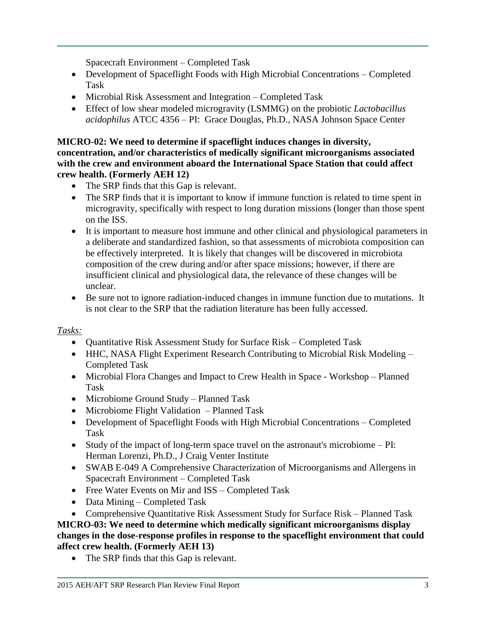Spacecraft Environment – Completed Task

- Development of Spaceflight Foods with High Microbial Concentrations Completed Task
- Microbial Risk Assessment and Integration Completed Task
- Effect of low shear modeled microgravity (LSMMG) on the probiotic *Lactobacillus acidophilus* ATCC 4356 – PI: Grace Douglas, Ph.D., NASA Johnson Space Center

### **MICRO-02: We need to determine if spaceflight induces changes in diversity, concentration, and/or characteristics of medically significant microorganisms associated with the crew and environment aboard the International Space Station that could affect crew health. (Formerly AEH 12)**

- The SRP finds that this Gap is relevant.
- The SRP finds that it is important to know if immune function is related to time spent in microgravity, specifically with respect to long duration missions (longer than those spent on the ISS.
- It is important to measure host immune and other clinical and physiological parameters in a deliberate and standardized fashion, so that assessments of microbiota composition can be effectively interpreted. It is likely that changes will be discovered in microbiota composition of the crew during and/or after space missions; however, if there are insufficient clinical and physiological data, the relevance of these changes will be unclear.
- Be sure not to ignore radiation-induced changes in immune function due to mutations. It is not clear to the SRP that the radiation literature has been fully accessed.

# *Tasks:*

- Quantitative Risk Assessment Study for Surface Risk Completed Task
- HHC, NASA Flight Experiment Research Contributing to Microbial Risk Modeling Completed Task
- Microbial Flora Changes and Impact to Crew Health in Space Workshop Planned Task
- Microbiome Ground Study Planned Task
- Microbiome Flight Validation Planned Task
- Development of Spaceflight Foods with High Microbial Concentrations Completed Task
- Study of the impact of long-term space travel on the astronaut's microbiome PI: Herman Lorenzi, Ph.D., J Craig Venter Institute
- SWAB E-049 A Comprehensive Characterization of Microorganisms and Allergens in Spacecraft Environment – Completed Task
- Free Water Events on Mir and ISS Completed Task
- Data Mining Completed Task
- Comprehensive Quantitative Risk Assessment Study for Surface Risk Planned Task

# **MICRO-03: We need to determine which medically significant microorganisms display changes in the dose-response profiles in response to the spaceflight environment that could affect crew health. (Formerly AEH 13)**

• The SRP finds that this Gap is relevant.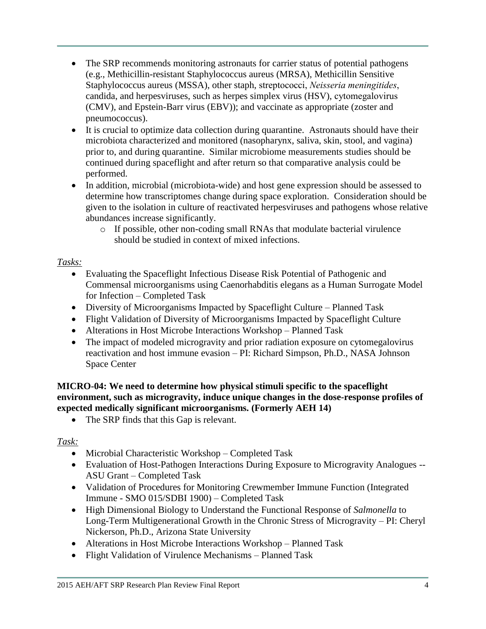- The SRP recommends monitoring astronauts for carrier status of potential pathogens (e.g., Methicillin-resistant Staphylococcus aureus (MRSA), Methicillin Sensitive Staphylococcus aureus (MSSA), other staph, streptococci, *Neisseria meningitides*, candida, and herpesviruses, such as herpes simplex virus (HSV), cytomegalovirus (CMV), and Epstein-Barr virus (EBV)); and vaccinate as appropriate (zoster and pneumococcus).
- It is crucial to optimize data collection during quarantine. Astronauts should have their microbiota characterized and monitored (nasopharynx, saliva, skin, stool, and vagina) prior to, and during quarantine. Similar microbiome measurements studies should be continued during spaceflight and after return so that comparative analysis could be performed.
- In addition, microbial (microbiota-wide) and host gene expression should be assessed to determine how transcriptomes change during space exploration. Consideration should be given to the isolation in culture of reactivated herpesviruses and pathogens whose relative abundances increase significantly.
	- o If possible, other non-coding small RNAs that modulate bacterial virulence should be studied in context of mixed infections.

# *Tasks:*

- Evaluating the Spaceflight Infectious Disease Risk Potential of Pathogenic and Commensal microorganisms using Caenorhabditis elegans as a Human Surrogate Model for Infection – Completed Task
- Diversity of Microorganisms Impacted by Spaceflight Culture Planned Task
- Flight Validation of Diversity of Microorganisms Impacted by Spaceflight Culture
- Alterations in Host Microbe Interactions Workshop Planned Task
- The impact of modeled microgravity and prior radiation exposure on cytomegalovirus reactivation and host immune evasion – PI: Richard Simpson, Ph.D., NASA Johnson Space Center

**MICRO-04: We need to determine how physical stimuli specific to the spaceflight environment, such as microgravity, induce unique changes in the dose-response profiles of expected medically significant microorganisms. (Formerly AEH 14)**

• The SRP finds that this Gap is relevant.

# *Task:*

- Microbial Characteristic Workshop Completed Task
- Evaluation of Host-Pathogen Interactions During Exposure to Microgravity Analogues -- ASU Grant – Completed Task
- Validation of Procedures for Monitoring Crewmember Immune Function (Integrated Immune - SMO 015/SDBI 1900) – Completed Task
- High Dimensional Biology to Understand the Functional Response of *Salmonella* to Long-Term Multigenerational Growth in the Chronic Stress of Microgravity – PI: Cheryl Nickerson, Ph.D., Arizona State University
- Alterations in Host Microbe Interactions Workshop Planned Task
- Flight Validation of Virulence Mechanisms Planned Task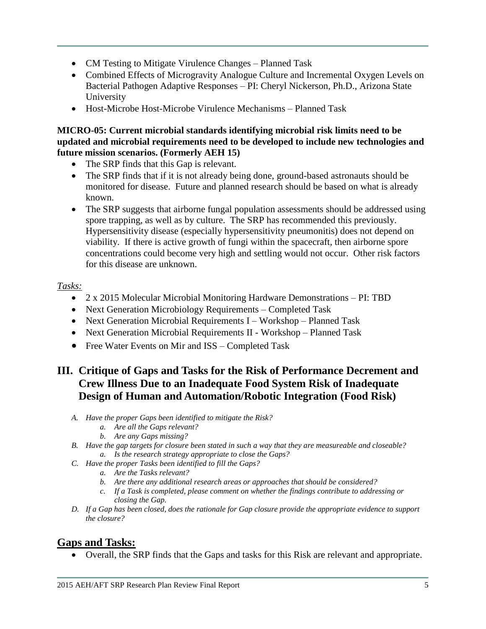- CM Testing to Mitigate Virulence Changes Planned Task
- Combined Effects of Microgravity Analogue Culture and Incremental Oxygen Levels on Bacterial Pathogen Adaptive Responses – PI: Cheryl Nickerson, Ph.D., Arizona State University
- Host-Microbe Host-Microbe Virulence Mechanisms Planned Task

### **MICRO-05: Current microbial standards identifying microbial risk limits need to be updated and microbial requirements need to be developed to include new technologies and future mission scenarios. (Formerly AEH 15)**

- The SRP finds that this Gap is relevant.
- The SRP finds that if it is not already being done, ground-based astronauts should be monitored for disease. Future and planned research should be based on what is already known.
- The SRP suggests that airborne fungal population assessments should be addressed using spore trapping, as well as by culture. The SRP has recommended this previously. Hypersensitivity disease (especially hypersensitivity pneumonitis) does not depend on viability. If there is active growth of fungi within the spacecraft, then airborne spore concentrations could become very high and settling would not occur. Other risk factors for this disease are unknown.

### *Tasks:*

- 2 x 2015 Molecular Microbial Monitoring Hardware Demonstrations PI: TBD
- Next Generation Microbiology Requirements Completed Task
- Next Generation Microbial Requirements I Workshop Planned Task
- Next Generation Microbial Requirements II Workshop Planned Task
- Free Water Events on Mir and ISS Completed Task

# **III. Critique of Gaps and Tasks for the Risk of Performance Decrement and Crew Illness Due to an Inadequate Food System Risk of Inadequate Design of Human and Automation/Robotic Integration (Food Risk)**

- *A. Have the proper Gaps been identified to mitigate the Risk?*
	- *a. Are all the Gaps relevant?*
	- *b. Are any Gaps missing?*
- *B. Have the gap targets for closure been stated in such a way that they are measureable and closeable? a. Is the research strategy appropriate to close the Gaps?*
- *C. Have the proper Tasks been identified to fill the Gaps?*
	- *a. Are the Tasks relevant?*
	- *b. Are there any additional research areas or approaches that should be considered?*
	- *c. If a Task is completed, please comment on whether the findings contribute to addressing or closing the Gap.*
- *D. If a Gap has been closed, does the rationale for Gap closure provide the appropriate evidence to support the closure?*

# **Gaps and Tasks:**

Overall, the SRP finds that the Gaps and tasks for this Risk are relevant and appropriate.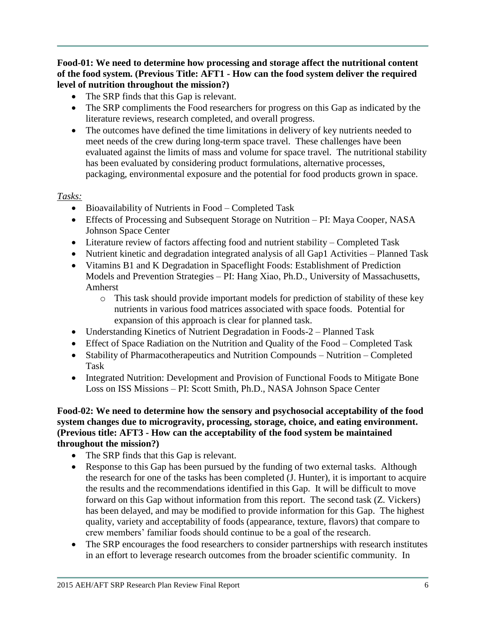**Food-01: We need to determine how processing and storage affect the nutritional content of the food system. (Previous Title: AFT1 - How can the food system deliver the required level of nutrition throughout the mission?)**

- The SRP finds that this Gap is relevant.
- The SRP compliments the Food researchers for progress on this Gap as indicated by the literature reviews, research completed, and overall progress.
- The outcomes have defined the time limitations in delivery of key nutrients needed to meet needs of the crew during long-term space travel. These challenges have been evaluated against the limits of mass and volume for space travel. The nutritional stability has been evaluated by considering product formulations, alternative processes, packaging, environmental exposure and the potential for food products grown in space.

### *Tasks:*

- Bioavailability of Nutrients in Food Completed Task
- Effects of Processing and Subsequent Storage on Nutrition PI: Maya Cooper, NASA Johnson Space Center
- Literature review of factors affecting food and nutrient stability Completed Task
- Nutrient kinetic and degradation integrated analysis of all Gap1 Activities Planned Task
- Vitamins B1 and K Degradation in Spaceflight Foods: Establishment of Prediction Models and Prevention Strategies – PI: Hang Xiao, Ph.D., University of Massachusetts, Amherst
	- o This task should provide important models for prediction of stability of these key nutrients in various food matrices associated with space foods. Potential for expansion of this approach is clear for planned task.
- Understanding Kinetics of Nutrient Degradation in Foods-2 Planned Task
- Effect of Space Radiation on the Nutrition and Quality of the Food Completed Task
- Stability of Pharmacotherapeutics and Nutrition Compounds Nutrition Completed Task
- Integrated Nutrition: Development and Provision of Functional Foods to Mitigate Bone Loss on ISS Missions – PI: Scott Smith, Ph.D., NASA Johnson Space Center

### **Food-02: We need to determine how the sensory and psychosocial acceptability of the food system changes due to microgravity, processing, storage, choice, and eating environment. (Previous title: AFT3 - How can the acceptability of the food system be maintained throughout the mission?)**

- The SRP finds that this Gap is relevant.
- Response to this Gap has been pursued by the funding of two external tasks. Although the research for one of the tasks has been completed (J. Hunter), it is important to acquire the results and the recommendations identified in this Gap. It will be difficult to move forward on this Gap without information from this report. The second task (Z. Vickers) has been delayed, and may be modified to provide information for this Gap. The highest quality, variety and acceptability of foods (appearance, texture, flavors) that compare to crew members' familiar foods should continue to be a goal of the research.
- The SRP encourages the food researchers to consider partnerships with research institutes in an effort to leverage research outcomes from the broader scientific community. In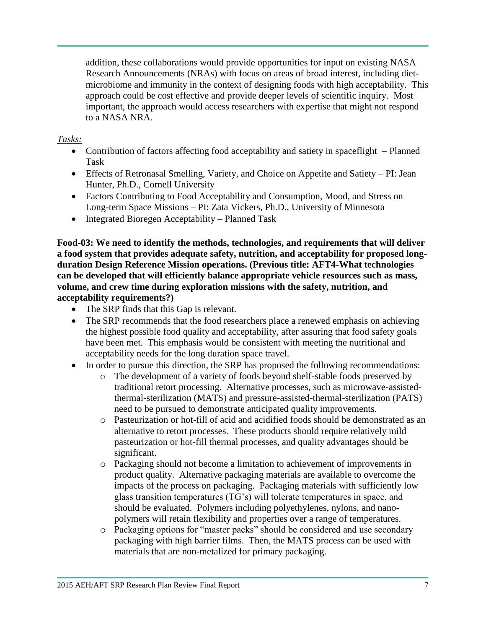addition, these collaborations would provide opportunities for input on existing NASA Research Announcements (NRAs) with focus on areas of broad interest, including dietmicrobiome and immunity in the context of designing foods with high acceptability. This approach could be cost effective and provide deeper levels of scientific inquiry. Most important, the approach would access researchers with expertise that might not respond to a NASA NRA.

### *Tasks:*

- Contribution of factors affecting food acceptability and satiety in spaceflight Planned Task
- Effects of Retronasal Smelling, Variety, and Choice on Appetite and Satiety PI: Jean Hunter, Ph.D., Cornell University
- Factors Contributing to Food Acceptability and Consumption, Mood, and Stress on Long-term Space Missions – PI: Zata Vickers, Ph.D., University of Minnesota
- Integrated Bioregen Acceptability Planned Task

**Food-03: We need to identify the methods, technologies, and requirements that will deliver a food system that provides adequate safety, nutrition, and acceptability for proposed longduration Design Reference Mission operations. (Previous title: AFT4-What technologies can be developed that will efficiently balance appropriate vehicle resources such as mass, volume, and crew time during exploration missions with the safety, nutrition, and acceptability requirements?)**

- The SRP finds that this Gap is relevant.
- The SRP recommends that the food researchers place a renewed emphasis on achieving the highest possible food quality and acceptability, after assuring that food safety goals have been met. This emphasis would be consistent with meeting the nutritional and acceptability needs for the long duration space travel.
- In order to pursue this direction, the SRP has proposed the following recommendations:
	- o The development of a variety of foods beyond shelf-stable foods preserved by traditional retort processing. Alternative processes, such as microwave-assistedthermal-sterilization (MATS) and pressure-assisted-thermal-sterilization (PATS) need to be pursued to demonstrate anticipated quality improvements.
	- o Pasteurization or hot-fill of acid and acidified foods should be demonstrated as an alternative to retort processes. These products should require relatively mild pasteurization or hot-fill thermal processes, and quality advantages should be significant.
	- o Packaging should not become a limitation to achievement of improvements in product quality. Alternative packaging materials are available to overcome the impacts of the process on packaging. Packaging materials with sufficiently low glass transition temperatures (TG's) will tolerate temperatures in space, and should be evaluated. Polymers including polyethylenes, nylons, and nanopolymers will retain flexibility and properties over a range of temperatures.
	- o Packaging options for "master packs" should be considered and use secondary packaging with high barrier films. Then, the MATS process can be used with materials that are non-metalized for primary packaging.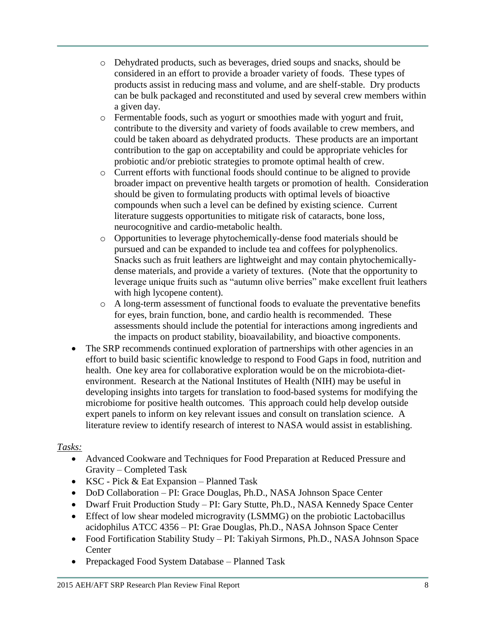- o Dehydrated products, such as beverages, dried soups and snacks, should be considered in an effort to provide a broader variety of foods. These types of products assist in reducing mass and volume, and are shelf-stable. Dry products can be bulk packaged and reconstituted and used by several crew members within a given day.
- o Fermentable foods, such as yogurt or smoothies made with yogurt and fruit, contribute to the diversity and variety of foods available to crew members, and could be taken aboard as dehydrated products. These products are an important contribution to the gap on acceptability and could be appropriate vehicles for probiotic and/or prebiotic strategies to promote optimal health of crew.
- o Current efforts with functional foods should continue to be aligned to provide broader impact on preventive health targets or promotion of health. Consideration should be given to formulating products with optimal levels of bioactive compounds when such a level can be defined by existing science. Current literature suggests opportunities to mitigate risk of cataracts, bone loss, neurocognitive and cardio-metabolic health.
- o Opportunities to leverage phytochemically-dense food materials should be pursued and can be expanded to include tea and coffees for polyphenolics. Snacks such as fruit leathers are lightweight and may contain phytochemicallydense materials, and provide a variety of textures. (Note that the opportunity to leverage unique fruits such as "autumn olive berries" make excellent fruit leathers with high lycopene content).
- o A long-term assessment of functional foods to evaluate the preventative benefits for eyes, brain function, bone, and cardio health is recommended. These assessments should include the potential for interactions among ingredients and the impacts on product stability, bioavailability, and bioactive components.
- The SRP recommends continued exploration of partnerships with other agencies in an effort to build basic scientific knowledge to respond to Food Gaps in food, nutrition and health. One key area for collaborative exploration would be on the microbiota-dietenvironment. Research at the National Institutes of Health (NIH) may be useful in developing insights into targets for translation to food-based systems for modifying the microbiome for positive health outcomes. This approach could help develop outside expert panels to inform on key relevant issues and consult on translation science. A literature review to identify research of interest to NASA would assist in establishing.

# *Tasks:*

- Advanced Cookware and Techniques for Food Preparation at Reduced Pressure and Gravity – Completed Task
- KSC Pick & Eat Expansion Planned Task
- DoD Collaboration PI: Grace Douglas, Ph.D., NASA Johnson Space Center
- Dwarf Fruit Production Study PI: Gary Stutte, Ph.D., NASA Kennedy Space Center
- Effect of low shear modeled microgravity (LSMMG) on the probiotic Lactobacillus acidophilus ATCC 4356 – PI: Grae Douglas, Ph.D., NASA Johnson Space Center
- Food Fortification Stability Study PI: Takiyah Sirmons, Ph.D., NASA Johnson Space **Center**
- Prepackaged Food System Database Planned Task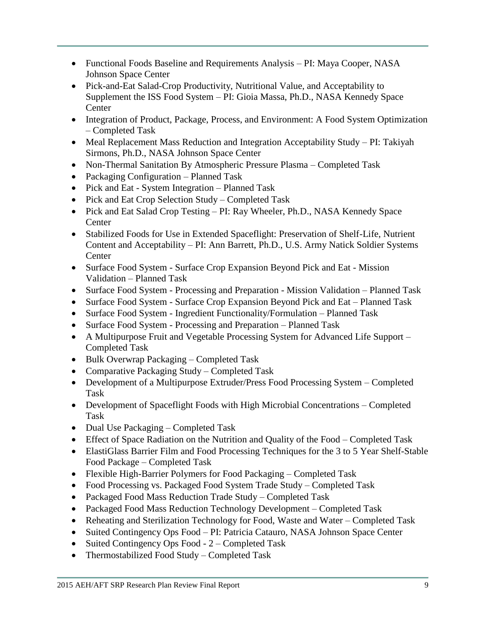- Functional Foods Baseline and Requirements Analysis PI: Maya Cooper, NASA Johnson Space Center
- Pick-and-Eat Salad-Crop Productivity, Nutritional Value, and Acceptability to Supplement the ISS Food System – PI: Gioia Massa, Ph.D., NASA Kennedy Space **Center**
- Integration of Product, Package, Process, and Environment: A Food System Optimization – Completed Task
- Meal Replacement Mass Reduction and Integration Acceptability Study PI: Takiyah Sirmons, Ph.D., NASA Johnson Space Center
- Non-Thermal Sanitation By Atmospheric Pressure Plasma Completed Task
- Packaging Configuration Planned Task
- Pick and Eat System Integration Planned Task
- Pick and Eat Crop Selection Study Completed Task
- Pick and Eat Salad Crop Testing PI: Ray Wheeler, Ph.D., NASA Kennedy Space **Center**
- Stabilized Foods for Use in Extended Spaceflight: Preservation of Shelf-Life, Nutrient Content and Acceptability – PI: Ann Barrett, Ph.D., U.S. Army Natick Soldier Systems **Center**
- Surface Food System Surface Crop Expansion Beyond Pick and Eat Mission Validation – Planned Task
- Surface Food System Processing and Preparation Mission Validation Planned Task
- Surface Food System Surface Crop Expansion Beyond Pick and Eat Planned Task
- Surface Food System Ingredient Functionality/Formulation Planned Task
- Surface Food System Processing and Preparation Planned Task
- A Multipurpose Fruit and Vegetable Processing System for Advanced Life Support Completed Task
- Bulk Overwrap Packaging Completed Task
- Comparative Packaging Study Completed Task
- Development of a Multipurpose Extruder/Press Food Processing System Completed Task
- Development of Spaceflight Foods with High Microbial Concentrations Completed Task
- Dual Use Packaging Completed Task
- Effect of Space Radiation on the Nutrition and Quality of the Food Completed Task
- ElastiGlass Barrier Film and Food Processing Techniques for the 3 to 5 Year Shelf-Stable Food Package – Completed Task
- Flexible High-Barrier Polymers for Food Packaging Completed Task
- Food Processing vs. Packaged Food System Trade Study Completed Task
- Packaged Food Mass Reduction Trade Study Completed Task
- Packaged Food Mass Reduction Technology Development Completed Task
- Reheating and Sterilization Technology for Food, Waste and Water Completed Task
- Suited Contingency Ops Food PI: Patricia Catauro, NASA Johnson Space Center
- Suited Contingency Ops Food  $2$  Completed Task
- Thermostabilized Food Study Completed Task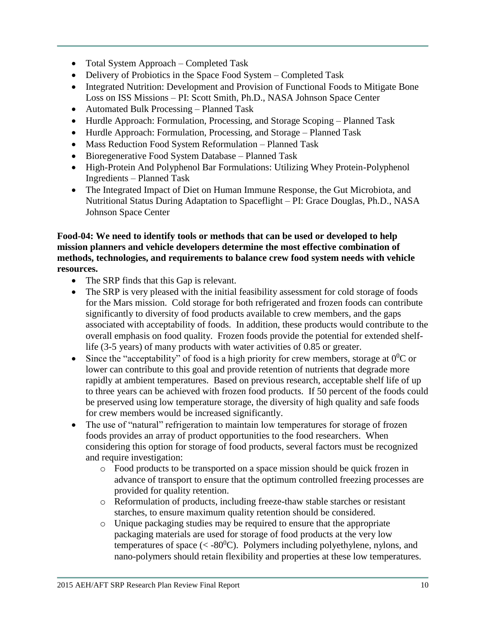- Total System Approach Completed Task
- Delivery of Probiotics in the Space Food System Completed Task
- Integrated Nutrition: Development and Provision of Functional Foods to Mitigate Bone Loss on ISS Missions – PI: Scott Smith, Ph.D., NASA Johnson Space Center
- Automated Bulk Processing Planned Task
- Hurdle Approach: Formulation, Processing, and Storage Scoping Planned Task
- Hurdle Approach: Formulation, Processing, and Storage Planned Task
- Mass Reduction Food System Reformulation Planned Task
- Bioregenerative Food System Database Planned Task
- High-Protein And Polyphenol Bar Formulations: Utilizing Whey Protein-Polyphenol Ingredients – Planned Task
- The Integrated Impact of Diet on Human Immune Response, the Gut Microbiota, and Nutritional Status During Adaptation to Spaceflight – PI: Grace Douglas, Ph.D., NASA Johnson Space Center

### **Food-04: We need to identify tools or methods that can be used or developed to help mission planners and vehicle developers determine the most effective combination of methods, technologies, and requirements to balance crew food system needs with vehicle resources.**

- The SRP finds that this Gap is relevant.
- The SRP is very pleased with the initial feasibility assessment for cold storage of foods for the Mars mission. Cold storage for both refrigerated and frozen foods can contribute significantly to diversity of food products available to crew members, and the gaps associated with acceptability of foods. In addition, these products would contribute to the overall emphasis on food quality. Frozen foods provide the potential for extended shelflife (3-5 years) of many products with water activities of 0.85 or greater.
- Since the "acceptability" of food is a high priority for crew members, storage at  $0^0C$  or lower can contribute to this goal and provide retention of nutrients that degrade more rapidly at ambient temperatures. Based on previous research, acceptable shelf life of up to three years can be achieved with frozen food products. If 50 percent of the foods could be preserved using low temperature storage, the diversity of high quality and safe foods for crew members would be increased significantly.
- The use of "natural" refrigeration to maintain low temperatures for storage of frozen foods provides an array of product opportunities to the food researchers. When considering this option for storage of food products, several factors must be recognized and require investigation:
	- o Food products to be transported on a space mission should be quick frozen in advance of transport to ensure that the optimum controlled freezing processes are provided for quality retention.
	- o Reformulation of products, including freeze-thaw stable starches or resistant starches, to ensure maximum quality retention should be considered.
	- o Unique packaging studies may be required to ensure that the appropriate packaging materials are used for storage of food products at the very low temperatures of space ( $\langle 0.80^{\circ}$ C). Polymers including polyethylene, nylons, and nano-polymers should retain flexibility and properties at these low temperatures.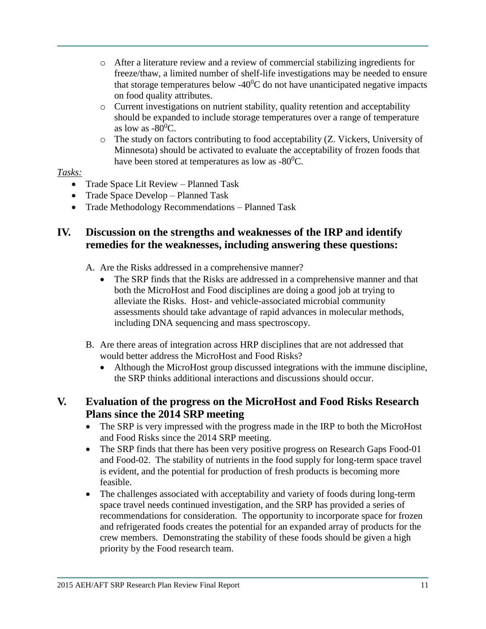- o After a literature review and a review of commercial stabilizing ingredients for freeze/thaw, a limited number of shelf-life investigations may be needed to ensure that storage temperatures below -40 $^{\circ}$ C do not have unanticipated negative impacts on food quality attributes.
- o Current investigations on nutrient stability, quality retention and acceptability should be expanded to include storage temperatures over a range of temperature as low as  $-80^0C$ .
- o The study on factors contributing to food acceptability (Z. Vickers, University of Minnesota) should be activated to evaluate the acceptability of frozen foods that have been stored at temperatures as low as  $-80^0C$ .

### *Tasks:*

- Trade Space Lit Review Planned Task
- Trade Space Develop Planned Task
- Trade Methodology Recommendations Planned Task

# **IV. Discussion on the strengths and weaknesses of the IRP and identify remedies for the weaknesses, including answering these questions:**

- A. Are the Risks addressed in a comprehensive manner?
	- The SRP finds that the Risks are addressed in a comprehensive manner and that both the MicroHost and Food disciplines are doing a good job at trying to alleviate the Risks. Host- and vehicle-associated microbial community assessments should take advantage of rapid advances in molecular methods, including DNA sequencing and mass spectroscopy.
- B. Are there areas of integration across HRP disciplines that are not addressed that would better address the MicroHost and Food Risks?
	- Although the MicroHost group discussed integrations with the immune discipline, the SRP thinks additional interactions and discussions should occur.

# **V. Evaluation of the progress on the MicroHost and Food Risks Research Plans since the 2014 SRP meeting**

- The SRP is very impressed with the progress made in the IRP to both the MicroHost and Food Risks since the 2014 SRP meeting.
- The SRP finds that there has been very positive progress on Research Gaps Food-01 and Food-02. The stability of nutrients in the food supply for long-term space travel is evident, and the potential for production of fresh products is becoming more feasible.
- The challenges associated with acceptability and variety of foods during long-term space travel needs continued investigation, and the SRP has provided a series of recommendations for consideration. The opportunity to incorporate space for frozen and refrigerated foods creates the potential for an expanded array of products for the crew members. Demonstrating the stability of these foods should be given a high priority by the Food research team.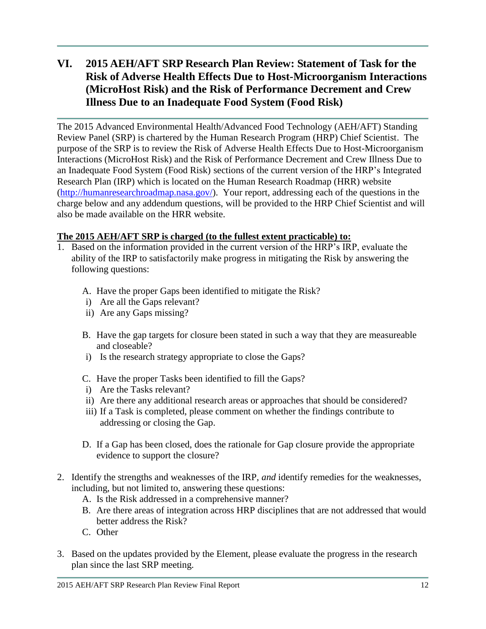# **VI. 2015 AEH/AFT SRP Research Plan Review: Statement of Task for the Risk of Adverse Health Effects Due to Host-Microorganism Interactions (MicroHost Risk) and the Risk of Performance Decrement and Crew Illness Due to an Inadequate Food System (Food Risk)**

The 2015 Advanced Environmental Health/Advanced Food Technology (AEH/AFT) Standing Review Panel (SRP) is chartered by the Human Research Program (HRP) Chief Scientist. The purpose of the SRP is to review the Risk of Adverse Health Effects Due to Host-Microorganism Interactions (MicroHost Risk) and the Risk of Performance Decrement and Crew Illness Due to an Inadequate Food System (Food Risk) sections of the current version of the HRP's Integrated Research Plan (IRP) which is located on the Human Research Roadmap (HRR) website [\(http://humanresearchroadmap.nasa.gov/\)](http://humanresearchroadmap.nasa.gov/). Your report, addressing each of the questions in the charge below and any addendum questions, will be provided to the HRP Chief Scientist and will also be made available on the HRR website.

### **The 2015 AEH/AFT SRP is charged (to the fullest extent practicable) to:**

- 1. Based on the information provided in the current version of the HRP's IRP, evaluate the ability of the IRP to satisfactorily make progress in mitigating the Risk by answering the following questions:
	- A. Have the proper Gaps been identified to mitigate the Risk?
	- i) Are all the Gaps relevant?
	- ii) Are any Gaps missing?
	- B. Have the gap targets for closure been stated in such a way that they are measureable and closeable?
	- i) Is the research strategy appropriate to close the Gaps?
	- C. Have the proper Tasks been identified to fill the Gaps?
	- i) Are the Tasks relevant?
	- ii) Are there any additional research areas or approaches that should be considered?
	- iii) If a Task is completed, please comment on whether the findings contribute to addressing or closing the Gap.
	- D. If a Gap has been closed, does the rationale for Gap closure provide the appropriate evidence to support the closure?
- 2. Identify the strengths and weaknesses of the IRP, *and* identify remedies for the weaknesses, including, but not limited to, answering these questions:
	- A. Is the Risk addressed in a comprehensive manner?
	- B. Are there areas of integration across HRP disciplines that are not addressed that would better address the Risk?
	- C. Other
- 3. Based on the updates provided by the Element, please evaluate the progress in the research plan since the last SRP meeting.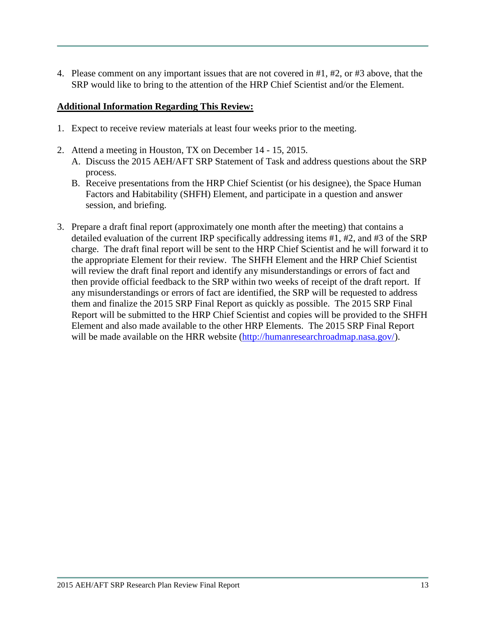4. Please comment on any important issues that are not covered in #1, #2, or #3 above, that the SRP would like to bring to the attention of the HRP Chief Scientist and/or the Element.

#### **Additional Information Regarding This Review:**

- 1. Expect to receive review materials at least four weeks prior to the meeting.
- 2. Attend a meeting in Houston, TX on December 14 15, 2015.
	- A. Discuss the 2015 AEH/AFT SRP Statement of Task and address questions about the SRP process.
	- B. Receive presentations from the HRP Chief Scientist (or his designee), the Space Human Factors and Habitability (SHFH) Element, and participate in a question and answer session, and briefing.
- 3. Prepare a draft final report (approximately one month after the meeting) that contains a detailed evaluation of the current IRP specifically addressing items #1, #2, and #3 of the SRP charge. The draft final report will be sent to the HRP Chief Scientist and he will forward it to the appropriate Element for their review. The SHFH Element and the HRP Chief Scientist will review the draft final report and identify any misunderstandings or errors of fact and then provide official feedback to the SRP within two weeks of receipt of the draft report. If any misunderstandings or errors of fact are identified, the SRP will be requested to address them and finalize the 2015 SRP Final Report as quickly as possible. The 2015 SRP Final Report will be submitted to the HRP Chief Scientist and copies will be provided to the SHFH Element and also made available to the other HRP Elements. The 2015 SRP Final Report will be made available on the HRR website [\(http://humanresearchroadmap.nasa.gov/\)](http://humanresearchroadmap.nasa.gov/).